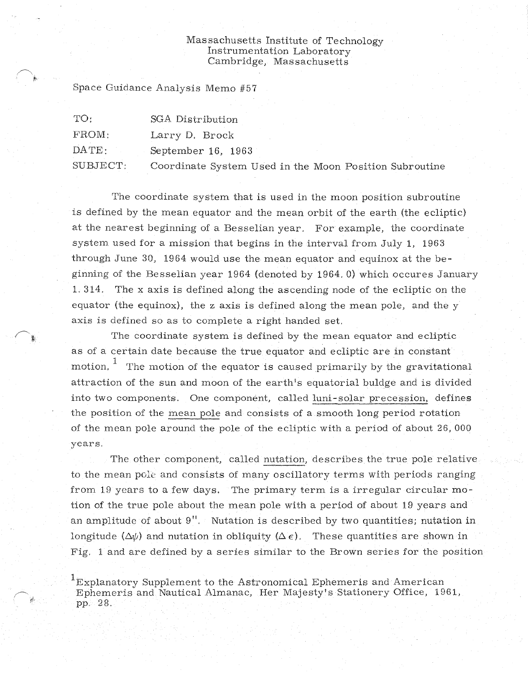## Massachusetts Institute of Technology Instrumentation Laboratory Cambridge, Massachusetts

in the Moon Position Subroutine

Space Guidance Analysis Memo #57

| TO:              | SGA Distribution       |
|------------------|------------------------|
| FROM:            | Larry D. Brock         |
| $\texttt{DATE:}$ | September 16, 1963     |
| SUBJECT:         | Coordinate System Used |

The coordinate system that is used in the moon position subroutine is defined by the mean equator and the mean orbit of the earth (the ecliptic) at the nearest beginning of a Besselian year. For example, the coordinate system used for a mission that begins in the interval from July 1, 1963 through June 30, 1964 would use the mean equator and equinox at the beginning of the Besselian year 1964 (denoted by 1964. 0) which occures Janua 1, 314. The x axis is defined along the ascending node of the ecliptic on the equator (the equinox), the z axis is defined along the mean pole, and the  $y$ axis is defined so as to complete a right handed set.

The coordinate system is defined by the mean equator and ecliptic as of a certain date because the true equator and ecliptic are in constant motion,  $1$  The motion of the equator is caused primarily by the gravitational attraction of the sun and moon of the earth's equatorial buldge and is divided into two components. One component, called luni-solar precession, defines the position of the mean pole and consists of a smooth long period rotation of the mean pole around the pole of the ecliptic with a period of about 26, 000 years.

The other component, called nutation, describes the true, pole relative to the mean pole and consists of many oscillatory terms with periods ranging from 19 years to a few days. The primary term is a irregular circular motion of the true pole about the mean pole with a period of about 19 years and an amplitude of about  $9''$ . Nutation is described by two quantities; nutation in longitude  $(\Delta \psi)$  and nutation in obliquity  $(\Delta \epsilon)$ . These quantities are shown in Fig. 1 and are defined by a series similar to the Brown series for the position

 ${}^{1}$ Explanatory Supplement to the Astronomical Ephemeris and American Ephemeris and Nautical Almanac, Her Majesty's Stationery Office, 1961, pp. 28,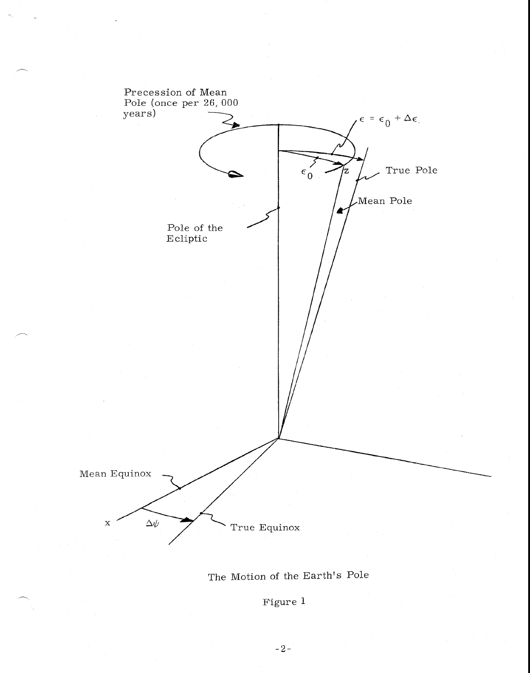

The Motion of the Earth's Pole

Figure 1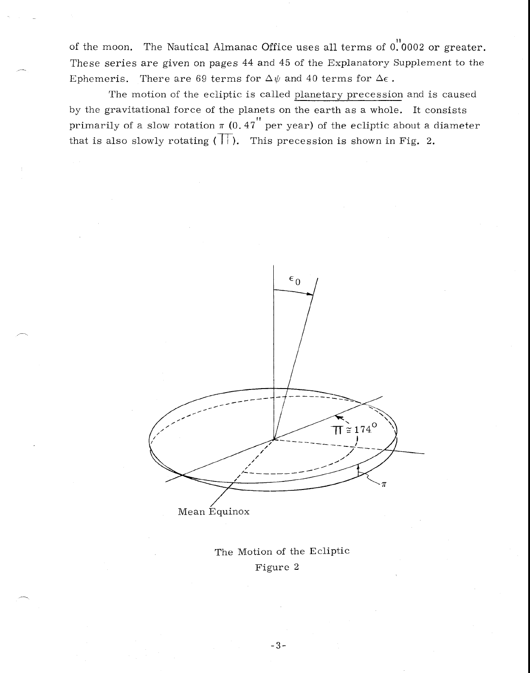of the moon. The Nautical Almanac Office uses all terms of  $0.0002$  or greater. These series are given on pages 44 and 45 of the Explanatory Supplement to the Ephemeris. There are 69 terms for  $\Delta \psi$  and 40 terms for  $\Delta \epsilon$ .

The motion of the ecliptic is called planetary precession and is caused by the gravitational force of the planets on the earth as a whole. It consists primarily of a slow rotation  $\pi$  (0.47 per year) of the ecliptic about a diameter that is also slowly rotating  $(\overline{\mathcal{H}})$ . This precession is shown in Fig. 2.



The Motion of the Ecliptic Figure 2

 $-3-$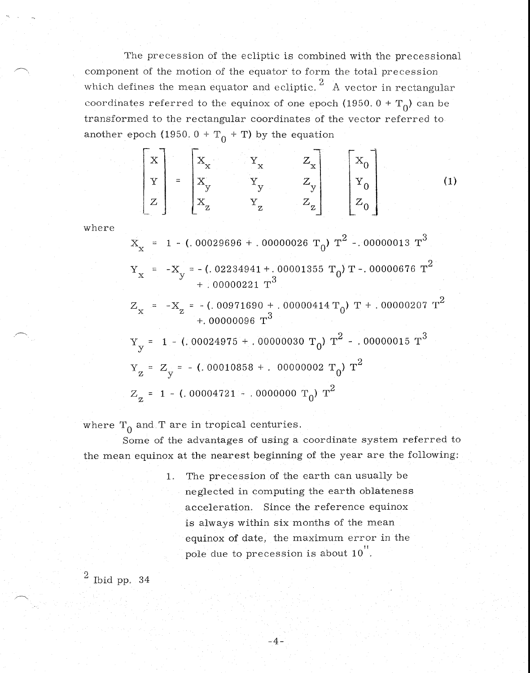The precession of the ecliptic is combined with the precessional component of the motion of the equator to form the total precession which defines the mean equator and ecliptic.  $^2\,$  A vector in rectangular coordinates referred to the equinox of one epoch (1950.  $0 + T_0$ ) can be transformed to the rectangular coordinates of the vector referred to another epoch (1950.  $0 + T_0 + T$ ) by the equation

$$
\begin{bmatrix} \mathbf{x} \\ \mathbf{y} \\ \mathbf{z} \end{bmatrix} = \begin{bmatrix} \mathbf{x}_{\mathbf{x}} & \mathbf{y}_{\mathbf{x}} & \mathbf{z}_{\mathbf{x}} \\ \mathbf{x}_{\mathbf{y}} & \mathbf{y}_{\mathbf{y}} & \mathbf{z}_{\mathbf{y}} \\ \mathbf{x}_{\mathbf{z}} & \mathbf{y}_{\mathbf{z}} & \mathbf{z}_{\mathbf{z}} \end{bmatrix} \begin{bmatrix} \mathbf{x}_{0} \\ \mathbf{y}_{0} \\ \mathbf{z}_{0} \end{bmatrix} \tag{1}
$$

where

 $+$ . 00000096 T<sup>3</sup>  $Y_y = 1 - (.00024975 + .00000030 T_0) T^2 - .00000015 T^3$ =  $-X_{\rm z}$  = -(.00971690 + .000000414 T<sub>0</sub>) T + .00000207 T<sup>2</sup>  $X_x = 1 - (.00029696 + .00000026 T_0) T^2 - .00000013 T^3$  $Y_{x}$  = -X<sub>y</sub> = -(. 02234941 +. 000001355 T<sub>0</sub>) T -. 00000676 T<sup>2</sup>  $+$  00000221 T<sup>3</sup>  $Z_{y}$  = -(.00010858 + .00000002 T<sub>0</sub>) T<sup>2</sup>  $Z_{z}$  = 1 - (, 00004721 - 0000000 T<sub>0</sub>) T<sup>2</sup>

where  $T_0$  and T are in tropical centuries.

Some of the advantages of using a coordinate system referred to the mean equinox at the nearest beginning of the year are the following:

 $-4-$ 

1, The precession of the earth can usually be neglected in computing the earth oblateness acceleration. Since the reference equinox is always within six months of the mean equinox of date, the maximum error in the pole due to precession is about  $10$ <sup>"</sup>.

## Ibid pp.  $34$